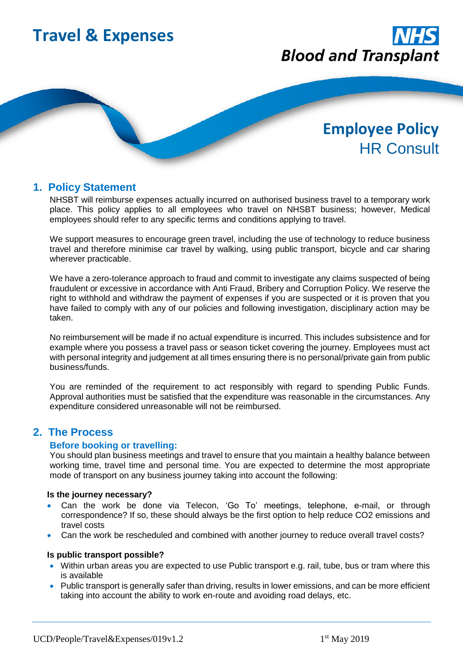

# **1. Policy Statement**

NHSBT will reimburse expenses actually incurred on authorised business travel to a temporary work place. This policy applies to all employees who travel on NHSBT business; however, Medical employees should refer to any specific terms and conditions applying to travel.

We support measures to encourage green travel, including the use of technology to reduce business travel and therefore minimise car travel by walking, using public transport, bicycle and car sharing wherever practicable.

We have a zero-tolerance approach to fraud and commit to investigate any claims suspected of being fraudulent or excessive in accordance with Anti Fraud, Bribery and Corruption Policy. We reserve the right to withhold and withdraw the payment of expenses if you are suspected or it is proven that you have failed to comply with any of our policies and following investigation, disciplinary action may be taken.

No reimbursement will be made if no actual expenditure is incurred. This includes subsistence and for example where you possess a travel pass or season ticket covering the journey. Employees must act with personal integrity and judgement at all times ensuring there is no personal/private gain from public business/funds.

You are reminded of the requirement to act responsibly with regard to spending Public Funds. Approval authorities must be satisfied that the expenditure was reasonable in the circumstances. Any expenditure considered unreasonable will not be reimbursed.

# **2. The Process**

#### **Before booking or travelling:**

You should plan business meetings and travel to ensure that you maintain a healthy balance between working time, travel time and personal time. You are expected to determine the most appropriate mode of transport on any business journey taking into account the following:

#### **Is the journey necessary?**

- Can the work be done via Telecon, 'Go To' meetings, telephone, e-mail, or through correspondence? If so, these should always be the first option to help reduce CO2 emissions and travel costs
- Can the work be rescheduled and combined with another journey to reduce overall travel costs?

#### **Is public transport possible?**

- Within urban areas you are expected to use Public transport e.g. rail, tube, bus or tram where this is available
- Public transport is generally safer than driving, results in lower emissions, and can be more efficient taking into account the ability to work en-route and avoiding road delays, etc.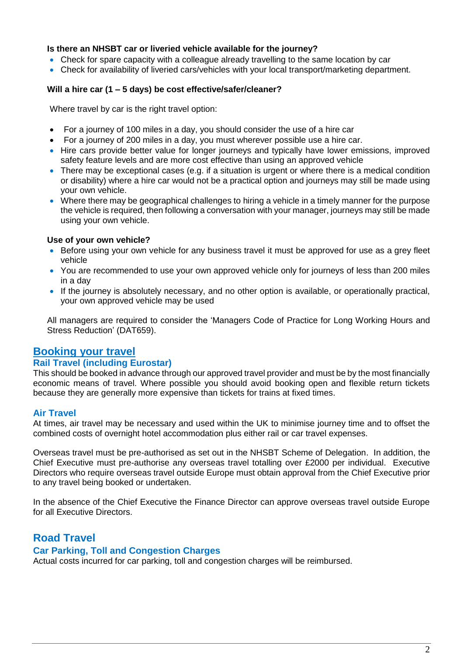#### **Is there an NHSBT car or liveried vehicle available for the journey?**

- Check for spare capacity with a colleague already travelling to the same location by car
- Check for availability of liveried cars/vehicles with your local transport/marketing department.

#### **Will a hire car (1 – 5 days) be cost effective/safer/cleaner?**

Where travel by car is the right travel option:

- For a journey of 100 miles in a day, you should consider the use of a hire car
- For a journey of 200 miles in a day, you must wherever possible use a hire car.
- Hire cars provide better value for longer journeys and typically have lower emissions, improved safety feature levels and are more cost effective than using an approved vehicle
- There may be exceptional cases (e.g. if a situation is urgent or where there is a medical condition or disability) where a hire car would not be a practical option and journeys may still be made using your own vehicle.
- Where there may be geographical challenges to hiring a vehicle in a timely manner for the purpose the vehicle is required, then following a conversation with your manager, journeys may still be made using your own vehicle.

#### **Use of your own vehicle?**

- Before using your own vehicle for any business travel it must be approved for use as a grey fleet vehicle
- You are recommended to use your own approved vehicle only for journeys of less than 200 miles in a day
- If the journey is absolutely necessary, and no other option is available, or operationally practical, your own approved vehicle may be used

All managers are required to consider the 'Managers Code of Practice for Long Working Hours and Stress Reduction' (DAT659).

# **Booking your travel**

#### **Rail Travel (including Eurostar)**

This should be booked in advance through our approved travel provider and must be by the most financially economic means of travel. Where possible you should avoid booking open and flexible return tickets because they are generally more expensive than tickets for trains at fixed times.

#### **Air Travel**

At times, air travel may be necessary and used within the UK to minimise journey time and to offset the combined costs of overnight hotel accommodation plus either rail or car travel expenses.

Overseas travel must be pre-authorised as set out in the NHSBT Scheme of Delegation. In addition, the Chief Executive must pre-authorise any overseas travel totalling over £2000 per individual. Executive Directors who require overseas travel outside Europe must obtain approval from the Chief Executive prior to any travel being booked or undertaken.

In the absence of the Chief Executive the Finance Director can approve overseas travel outside Europe for all Executive Directors.

# **Road Travel**

# **Car Parking, Toll and Congestion Charges**

Actual costs incurred for car parking, toll and congestion charges will be reimbursed.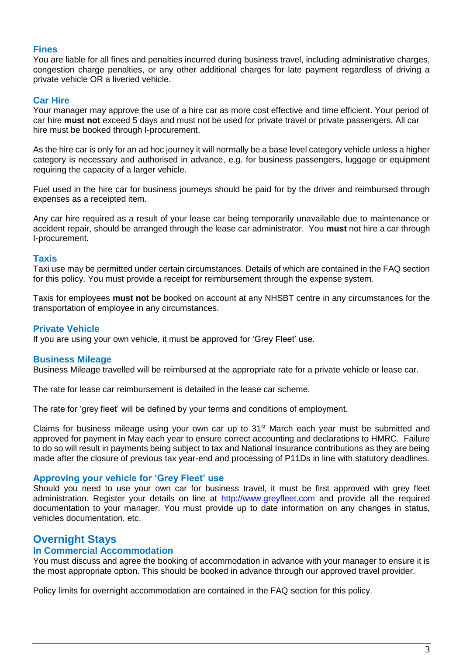# **Fines**

You are liable for all fines and penalties incurred during business travel, including administrative charges, congestion charge penalties, or any other additional charges for late payment regardless of driving a private vehicle OR a liveried vehicle.

# **Car Hire**

Your manager may approve the use of a hire car as more cost effective and time efficient. Your period of car hire **must not** exceed 5 days and must not be used for private travel or private passengers. All car hire must be booked through I-procurement.

As the hire car is only for an ad hoc journey it will normally be a base level category vehicle unless a higher category is necessary and authorised in advance, e.g. for business passengers, luggage or equipment requiring the capacity of a larger vehicle.

Fuel used in the hire car for business journeys should be paid for by the driver and reimbursed through expenses as a receipted item.

Any car hire required as a result of your lease car being temporarily unavailable due to maintenance or accident repair, should be arranged through the lease car administrator. You **must** not hire a car through I-procurement.

#### **Taxis**

Taxi use may be permitted under certain circumstances. Details of which are contained in the FAQ section for this policy. You must provide a receipt for reimbursement through the expense system.

Taxis for employees **must not** be booked on account at any NHSBT centre in any circumstances for the transportation of employee in any circumstances.

#### **Private Vehicle**

If you are using your own vehicle, it must be approved for 'Grey Fleet' use.

#### **Business Mileage**

Business Mileage travelled will be reimbursed at the appropriate rate for a private vehicle or lease car.

The rate for lease car reimbursement is detailed in the lease car scheme.

The rate for 'grey fleet' will be defined by your terms and conditions of employment.

Claims for business mileage using your own car up to 31<sup>st</sup> March each year must be submitted and approved for payment in May each year to ensure correct accounting and declarations to HMRC. Failure to do so will result in payments being subject to tax and National Insurance contributions as they are being made after the closure of previous tax year-end and processing of P11Ds in line with statutory deadlines.

#### **Approving your vehicle for 'Grey Fleet' use**

Should you need to use your own car for business travel, it must be first approved with grey fleet administration. Register your details on line at http://www.greyfleet.com and provide all the required documentation to your manager. You must provide up to date information on any changes in status, vehicles documentation, etc.

# **Overnight Stays**

# **In Commercial Accommodation**

You must discuss and agree the booking of accommodation in advance with your manager to ensure it is the most appropriate option. This should be booked in advance through our approved travel provider.

Policy limits for overnight accommodation are contained in the FAQ section for this policy.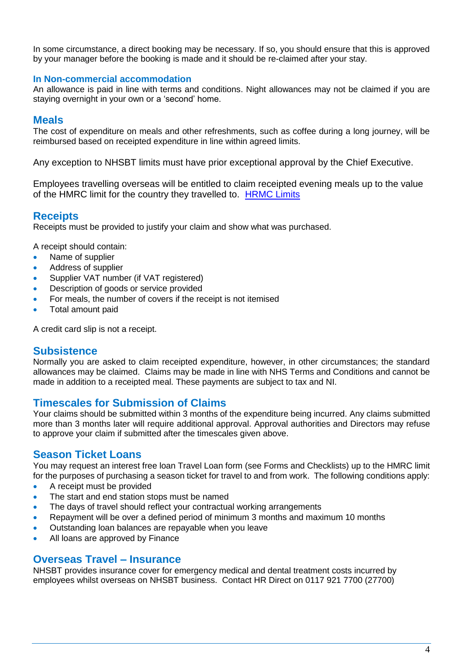In some circumstance, a direct booking may be necessary. If so, you should ensure that this is approved by your manager before the booking is made and it should be re-claimed after your stay.

#### **In Non-commercial accommodation**

An allowance is paid in line with terms and conditions. Night allowances may not be claimed if you are staying overnight in your own or a 'second' home.

### **Meals**

The cost of expenditure on meals and other refreshments, such as coffee during a long journey, will be reimbursed based on receipted expenditure in line within agreed limits.

Any exception to NHSBT limits must have prior exceptional approval by the Chief Executive.

Employees travelling overseas will be entitled to claim receipted evening meals up to the value of the HMRC limit for the country they travelled to. [HRMC Limits](https://www.gov.uk/government/publications/scale-rate-expenses-payments-employee-travelling-outside-the-uk)

# **Receipts**

Receipts must be provided to justify your claim and show what was purchased.

A receipt should contain:

- Name of supplier
- Address of supplier
- Supplier VAT number (if VAT registered)
- Description of goods or service provided
- For meals, the number of covers if the receipt is not itemised
- Total amount paid

A credit card slip is not a receipt.

# **Subsistence**

Normally you are asked to claim receipted expenditure, however, in other circumstances; the standard allowances may be claimed. Claims may be made in line with NHS Terms and Conditions and cannot be made in addition to a receipted meal. These payments are subject to tax and NI.

# **Timescales for Submission of Claims**

Your claims should be submitted within 3 months of the expenditure being incurred. Any claims submitted more than 3 months later will require additional approval. Approval authorities and Directors may refuse to approve your claim if submitted after the timescales given above.

# **Season Ticket Loans**

You may request an interest free loan Travel Loan form (see Forms and Checklists) up to the HMRC limit for the purposes of purchasing a season ticket for travel to and from work. The following conditions apply:

- A receipt must be provided
- The start and end station stops must be named
- The days of travel should reflect your contractual working arrangements
- Repayment will be over a defined period of minimum 3 months and maximum 10 months
- Outstanding loan balances are repayable when you leave
- All loans are approved by Finance

# **Overseas Travel – Insurance**

NHSBT provides insurance cover for emergency medical and dental treatment costs incurred by employees whilst overseas on NHSBT business. Contact HR Direct on 0117 921 7700 (27700)